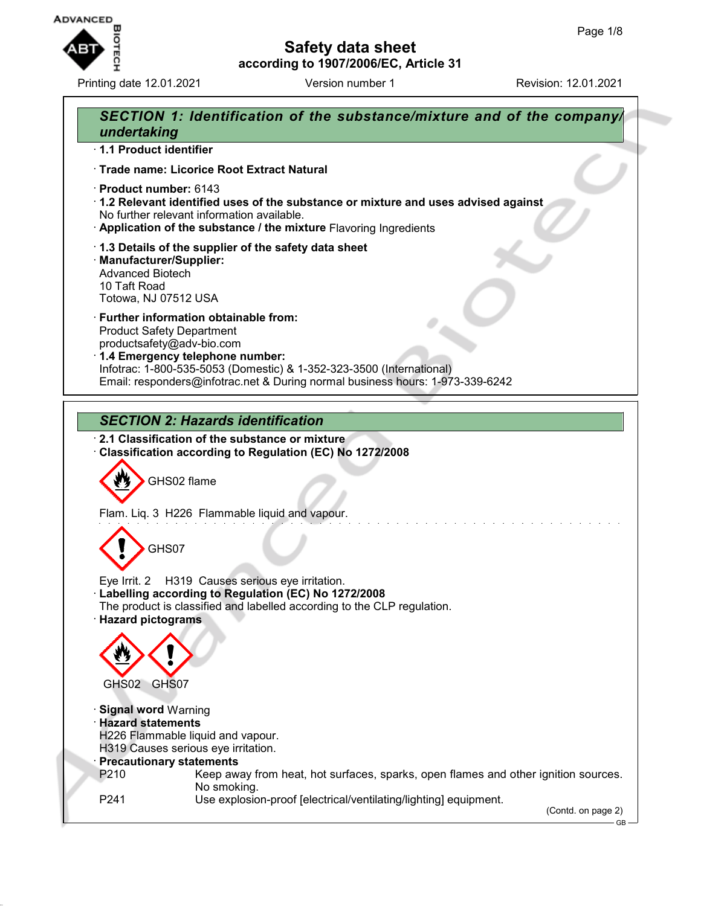

Printing date 12.01.2021 **Version number 1** Revision: 12.01.2021

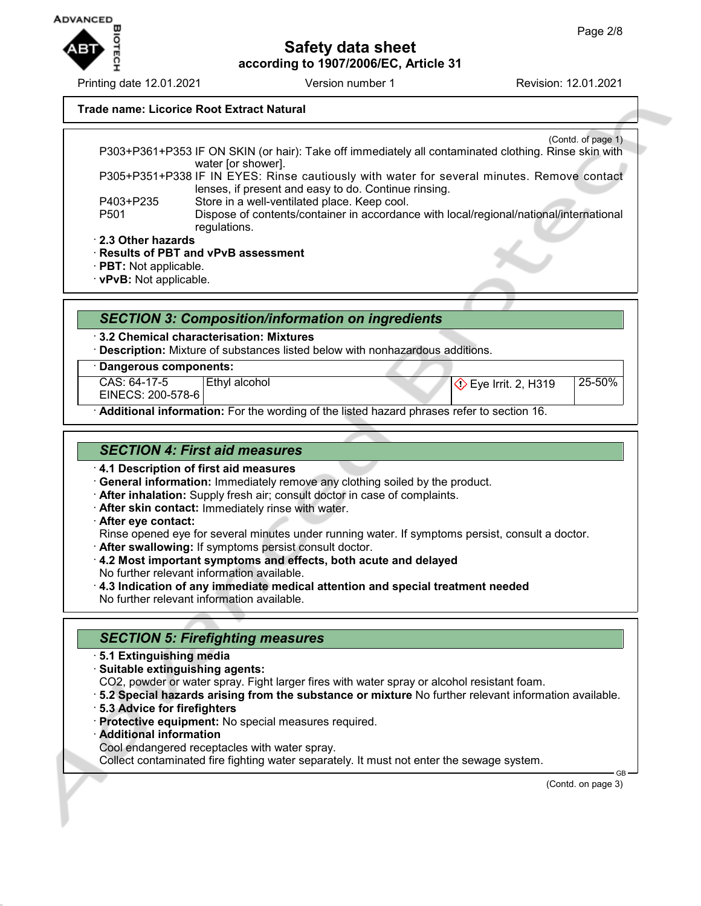#### **Trade name: Licorice Root Extract Natural**

(Contd. of page 1) P303+P361+P353 IF ON SKIN (or hair): Take off immediately all contaminated clothing. Rinse skin with water [or shower]. P305+P351+P338 IF IN EYES: Rinse cautiously with water for several minutes. Remove contact lenses, if present and easy to do. Continue rinsing. P403+P235 Store in a well-ventilated place. Keep cool. P501 Dispose of contents/container in accordance with local/regional/national/international regulations. · **2.3 Other hazards**

· **Results of PBT and vPvB assessment**

· **PBT:** Not applicable.

· **vPvB:** Not applicable.

### *SECTION 3: Composition/information on ingredients*

· **3.2 Chemical characterisation: Mixtures**

· **Description:** Mixture of substances listed below with nonhazardous additions.

#### · **Dangerous components:**

CAS: 64-17-5

EINECS: 200-578-6

Ethyl alcohol  $\bigotimes$  Eye Irrit. 2, H319 25-50%

· **Additional information:** For the wording of the listed hazard phrases refer to section 16.

### *SECTION 4: First aid measures*

- · **4.1 Description of first aid measures**
- · **General information:** Immediately remove any clothing soiled by the product.
- · **After inhalation:** Supply fresh air; consult doctor in case of complaints.
- · **After skin contact:** Immediately rinse with water.
- · **After eye contact:**

Rinse opened eye for several minutes under running water. If symptoms persist, consult a doctor.

- · **After swallowing:** If symptoms persist consult doctor.
- · **4.2 Most important symptoms and effects, both acute and delayed** No further relevant information available.
- · **4.3 Indication of any immediate medical attention and special treatment needed** No further relevant information available.

## *SECTION 5: Firefighting measures*

- · **5.1 Extinguishing media**
- · **Suitable extinguishing agents:**
- CO2, powder or water spray. Fight larger fires with water spray or alcohol resistant foam.
- · **5.2 Special hazards arising from the substance or mixture** No further relevant information available.
- · **5.3 Advice for firefighters**
- · **Protective equipment:** No special measures required.
- · **Additional information**

Cool endangered receptacles with water spray.

Collect contaminated fire fighting water separately. It must not enter the sewage system.

(Contd. on page 3)

GB



Printing date 12.01.2021 **Version number 1** Revision: 12.01.2021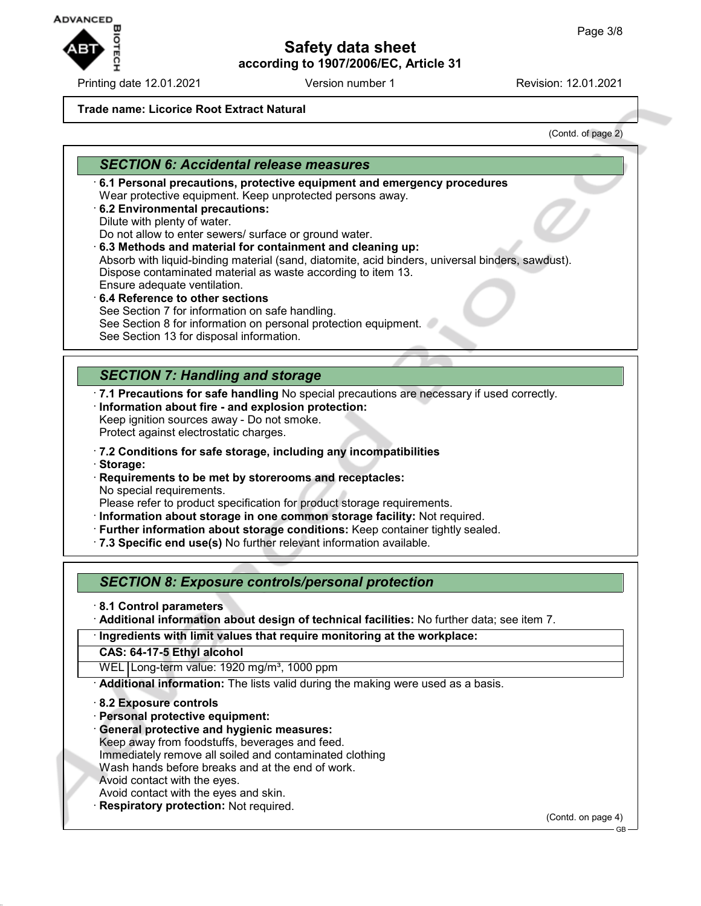**ADVANCED** 

Printing date 12.01.2021 Version number 1 Revision: 12.01.2021

# **Safety data sheet according to 1907/2006/EC, Article 31**

#### **Trade name: Licorice Root Extract Natural**

(Contd. of page 2)

### *SECTION 6: Accidental release measures*

- · **6.1 Personal precautions, protective equipment and emergency procedures** Wear protective equipment. Keep unprotected persons away.
- · **6.2 Environmental precautions:**
- Dilute with plenty of water.

Do not allow to enter sewers/ surface or ground water.

· **6.3 Methods and material for containment and cleaning up:**

Absorb with liquid-binding material (sand, diatomite, acid binders, universal binders, sawdust). Dispose contaminated material as waste according to item 13. Ensure adequate ventilation.

- · **6.4 Reference to other sections** See Section 7 for information on safe handling. See Section 8 for information on personal protection equipment.
- See Section 13 for disposal information.

# *SECTION 7: Handling and storage*

- · **7.1 Precautions for safe handling** No special precautions are necessary if used correctly.
- · **Information about fire and explosion protection:**
- Keep ignition sources away Do not smoke. Protect against electrostatic charges.
- · **7.2 Conditions for safe storage, including any incompatibilities**
- · **Storage:**
- · **Requirements to be met by storerooms and receptacles:** No special requirements.

Please refer to product specification for product storage requirements.

- · **Information about storage in one common storage facility:** Not required.
- · **Further information about storage conditions:** Keep container tightly sealed.
- · **7.3 Specific end use(s)** No further relevant information available.

*SECTION 8: Exposure controls/personal protection*

- · **8.1 Control parameters**
- · **Additional information about design of technical facilities:** No further data; see item 7.

· **Ingredients with limit values that require monitoring at the workplace:**

**CAS: 64-17-5 Ethyl alcohol**

WEL Long-term value: 1920 mg/m<sup>3</sup>, 1000 ppm

· **Additional information:** The lists valid during the making were used as a basis.

· **8.2 Exposure controls**

- · **Personal protective equipment:**
- · **General protective and hygienic measures:**
- Keep away from foodstuffs, beverages and feed.
- Immediately remove all soiled and contaminated clothing
- Wash hands before breaks and at the end of work.
- Avoid contact with the eyes.
- Avoid contact with the eyes and skin.
- **Respiratory protection: Not required.**

(Contd. on page 4)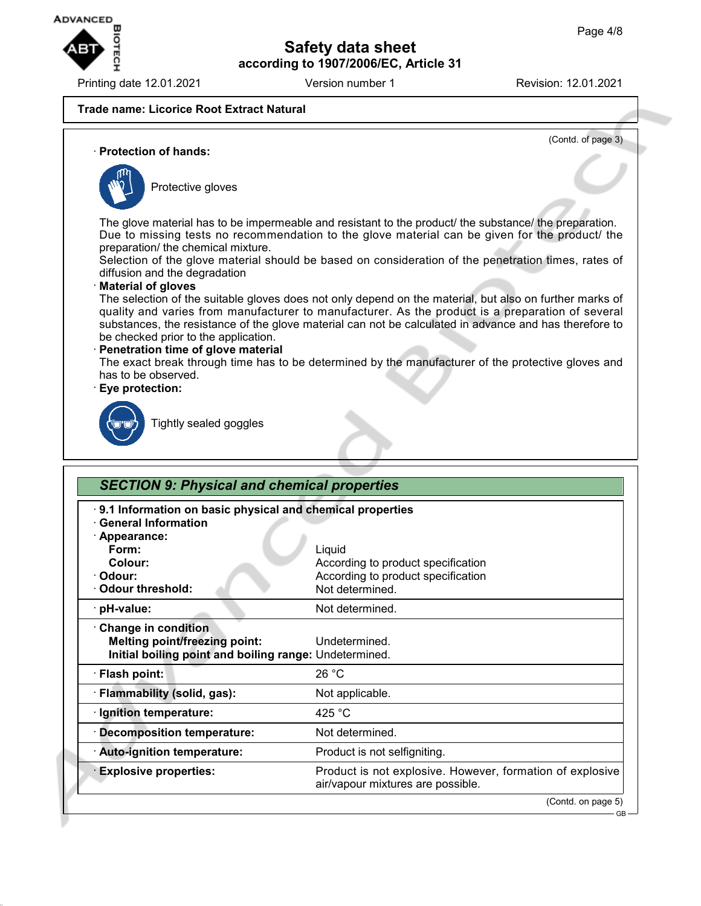

Printing date 12.01.2021 **Version number 1** Revision: 12.01.2021

(Contd. of page 3)

### **Trade name: Licorice Root Extract Natural**

· **Protection of hands:**



Protective gloves

The glove material has to be impermeable and resistant to the product/ the substance/ the preparation. Due to missing tests no recommendation to the glove material can be given for the product/ the preparation/ the chemical mixture.

Selection of the glove material should be based on consideration of the penetration times, rates of diffusion and the degradation

### · **Material of gloves**

The selection of the suitable gloves does not only depend on the material, but also on further marks of quality and varies from manufacturer to manufacturer. As the product is a preparation of several substances, the resistance of the glove material can not be calculated in advance and has therefore to be checked prior to the application.

#### · **Penetration time of glove material**

The exact break through time has to be determined by the manufacturer of the protective gloves and has to be observed.

#### · **Eye protection:**



Tightly sealed goggles

| 9.1 Information on basic physical and chemical properties<br><b>General Information</b>                               |                                                                                                |
|-----------------------------------------------------------------------------------------------------------------------|------------------------------------------------------------------------------------------------|
| · Appearance:                                                                                                         |                                                                                                |
| Form:                                                                                                                 | Liquid                                                                                         |
| Colour:                                                                                                               | According to product specification                                                             |
| · Odour:                                                                                                              | According to product specification                                                             |
| Odour threshold:                                                                                                      | Not determined.                                                                                |
| · pH-value:                                                                                                           | Not determined.                                                                                |
| Change in condition<br><b>Melting point/freezing point:</b><br>Initial boiling point and boiling range: Undetermined. | Undetermined.                                                                                  |
| · Flash point:                                                                                                        | 26 °C                                                                                          |
| · Flammability (solid, gas):                                                                                          | Not applicable.                                                                                |
| · Ignition temperature:                                                                                               | 425 °C                                                                                         |
| <b>Decomposition temperature:</b>                                                                                     | Not determined.                                                                                |
| · Auto-ignition temperature:                                                                                          | Product is not selfigniting.                                                                   |
| <b>Explosive properties:</b>                                                                                          | Product is not explosive. However, formation of explosive<br>air/vapour mixtures are possible. |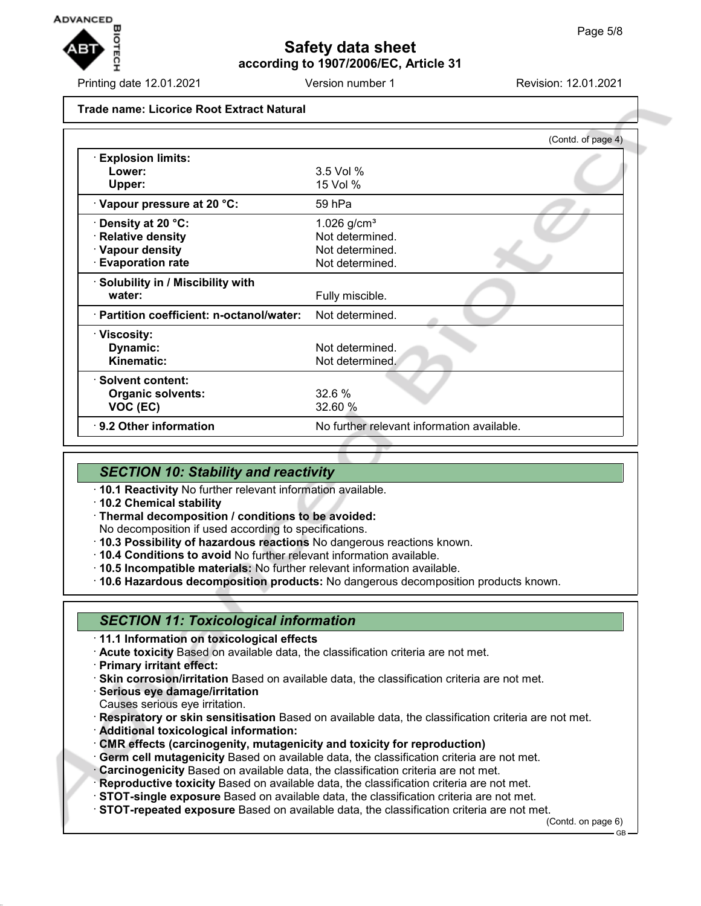

Printing date 12.01.2021 **Version number 1** Revision: 12.01.2021

#### **Trade name: Licorice Root Extract Natural**

|                                           | (Contd. of page 4)                         |
|-------------------------------------------|--------------------------------------------|
| <b>Explosion limits:</b>                  |                                            |
| Lower:                                    | 3.5 Vol %                                  |
| Upper:                                    | 15 Vol %                                   |
| Vapour pressure at 20 °C:                 | 59 hPa                                     |
| Density at 20 °C:                         | 1.026 $g/cm^{3}$                           |
| <b>Relative density</b>                   | Not determined.                            |
| · Vapour density                          | Not determined.                            |
| <b>Evaporation rate</b>                   | Not determined.                            |
| · Solubility in / Miscibility with        |                                            |
| water:                                    | Fully miscible.                            |
| · Partition coefficient: n-octanol/water: | Not determined.                            |
| · Viscosity:                              |                                            |
| Dynamic:                                  | Not determined.                            |
| <b>Kinematic:</b>                         | Not determined.                            |
| · Solvent content:                        |                                            |
| <b>Organic solvents:</b>                  | 32.6%                                      |
| VOC (EC)                                  | 32.60 %                                    |
| · 9.2 Other information                   | No further relevant information available. |

### *SECTION 10: Stability and reactivity*

- · **10.1 Reactivity** No further relevant information available.
- · **10.2 Chemical stability**
- · **Thermal decomposition / conditions to be avoided:**
- No decomposition if used according to specifications.
- · **10.3 Possibility of hazardous reactions** No dangerous reactions known.
- · **10.4 Conditions to avoid** No further relevant information available.
- · **10.5 Incompatible materials:** No further relevant information available.
- · **10.6 Hazardous decomposition products:** No dangerous decomposition products known.

### *SECTION 11: Toxicological information*

- · **11.1 Information on toxicological effects**
- · **Acute toxicity** Based on available data, the classification criteria are not met.
- · **Primary irritant effect:**
- · **Skin corrosion/irritation** Based on available data, the classification criteria are not met.
- · **Serious eye damage/irritation**
- Causes serious eye irritation.

· **Respiratory or skin sensitisation** Based on available data, the classification criteria are not met.

- · **Additional toxicological information:**
- · **CMR effects (carcinogenity, mutagenicity and toxicity for reproduction)**
- · **Germ cell mutagenicity** Based on available data, the classification criteria are not met.
- · **Carcinogenicity** Based on available data, the classification criteria are not met.
- · **Reproductive toxicity** Based on available data, the classification criteria are not met.
- · **STOT-single exposure** Based on available data, the classification criteria are not met.
- · **STOT-repeated exposure** Based on available data, the classification criteria are not met.

(Contd. on page 6)

GB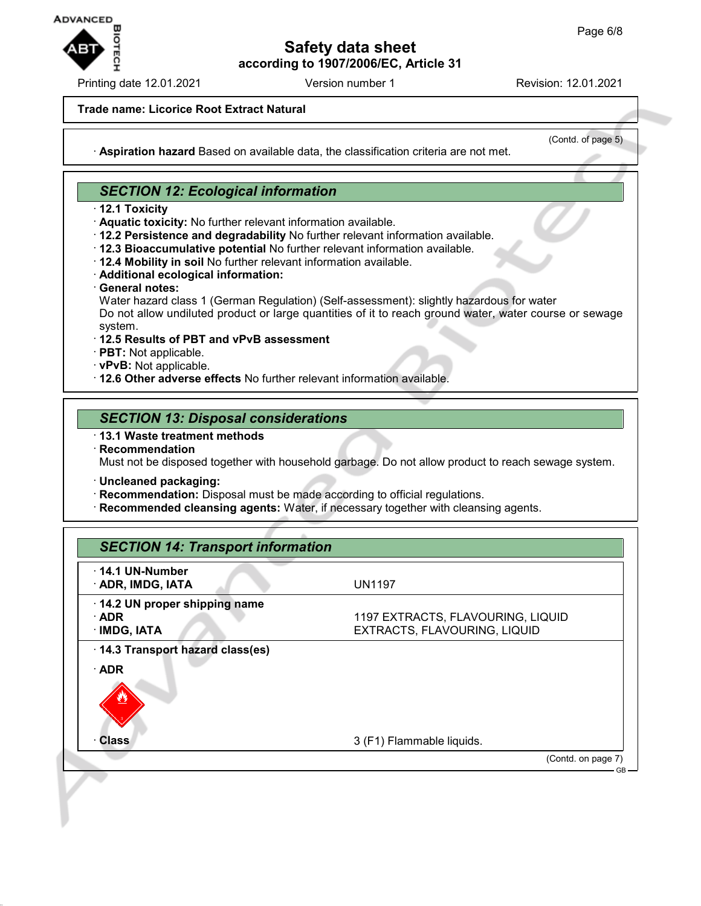

Printing date 12.01.2021 **Version number 1** Revision: 12.01.2021

#### **Trade name: Licorice Root Extract Natural**

(Contd. of page 5)

· **Aspiration hazard** Based on available data, the classification criteria are not met.

### *SECTION 12: Ecological information*

- · **12.1 Toxicity**
- · **Aquatic toxicity:** No further relevant information available.
- · **12.2 Persistence and degradability** No further relevant information available.
- · **12.3 Bioaccumulative potential** No further relevant information available.
- · **12.4 Mobility in soil** No further relevant information available.
- · **Additional ecological information:**
- · **General notes:**
- Water hazard class 1 (German Regulation) (Self-assessment): slightly hazardous for water Do not allow undiluted product or large quantities of it to reach ground water, water course or sewage system.
- · **12.5 Results of PBT and vPvB assessment**
- · **PBT:** Not applicable.
- · **vPvB:** Not applicable.
- · **12.6 Other adverse effects** No further relevant information available.

### *SECTION 13: Disposal considerations*

- · **13.1 Waste treatment methods**
- · **Recommendation** Must not be disposed together with household garbage. Do not allow product to reach sewage system.
- · **Uncleaned packaging:**
- · **Recommendation:** Disposal must be made according to official regulations.
- · **Recommended cleansing agents:** Water, if necessary together with cleansing agents.

| $\cdot$ 14.1 UN-Number<br>· ADR, IMDG, IATA                 | <b>UN1197</b>                                                     |
|-------------------------------------------------------------|-------------------------------------------------------------------|
| 14.2 UN proper shipping name<br>$\cdot$ ADR<br>· IMDG, IATA | 1197 EXTRACTS, FLAVOURING, LIQUID<br>EXTRACTS, FLAVOURING, LIQUID |
| 14.3 Transport hazard class(es)                             |                                                                   |
| $\cdot$ ADR                                                 |                                                                   |
| <b>Class</b>                                                | 3 (F1) Flammable liquids.                                         |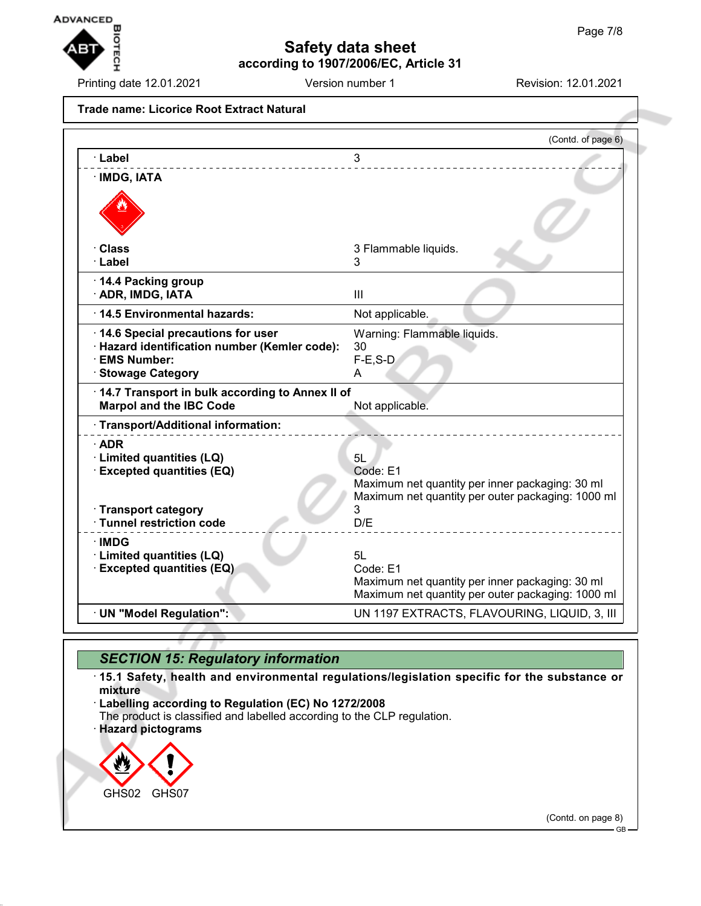

Printing date 12.01.2021 **Version number 1** Revision: 12.01.2021

**Trade name: Licorice Root Extract Natural** (Contd. of page 6) · **Label** 3 · **IMDG, IATA** · **Class** 3 Flammable liquids. · **Label** 3 · **14.4 Packing group** · **ADR, IMDG, IATA** III **14.5 Environmental hazards:** Not applicable. · **14.6 Special precautions for user** Warning: Flammable liquids. · **Hazard identification number (Kemler code):** 30 · **EMS Number:** F-E,S-D **· Stowage Category A** · **14.7 Transport in bulk according to Annex II of Marpol and the IBC Code** Not applicable. · **Transport/Additional information:** · **ADR** · **Limited quantities (LQ)** 5L · **Excepted quantities (EQ)** Code: E1 Maximum net quantity per inner packaging: 30 ml Maximum net quantity per outer packaging: 1000 ml · **Transport category** 3 · **Tunnel restriction code** D/E \_\_\_\_\_\_\_\_\_\_\_\_\_\_\_\_\_ · **IMDG** · **Limited quantities (LQ)** 5L · **Excepted quantities (EQ)** Code: E1 Maximum net quantity per inner packaging: 30 ml Maximum net quantity per outer packaging: 1000 ml · **UN "Model Regulation":** UN 1197 EXTRACTS, FLAVOURING, LIQUID, 3, III

## *SECTION 15: Regulatory information*

· **15.1 Safety, health and environmental regulations/legislation specific for the substance or mixture**

· **Labelling according to Regulation (EC) No 1272/2008**

The product is classified and labelled according to the CLP regulation.

· **Hazard pictograms**



(Contd. on page 8)

GB